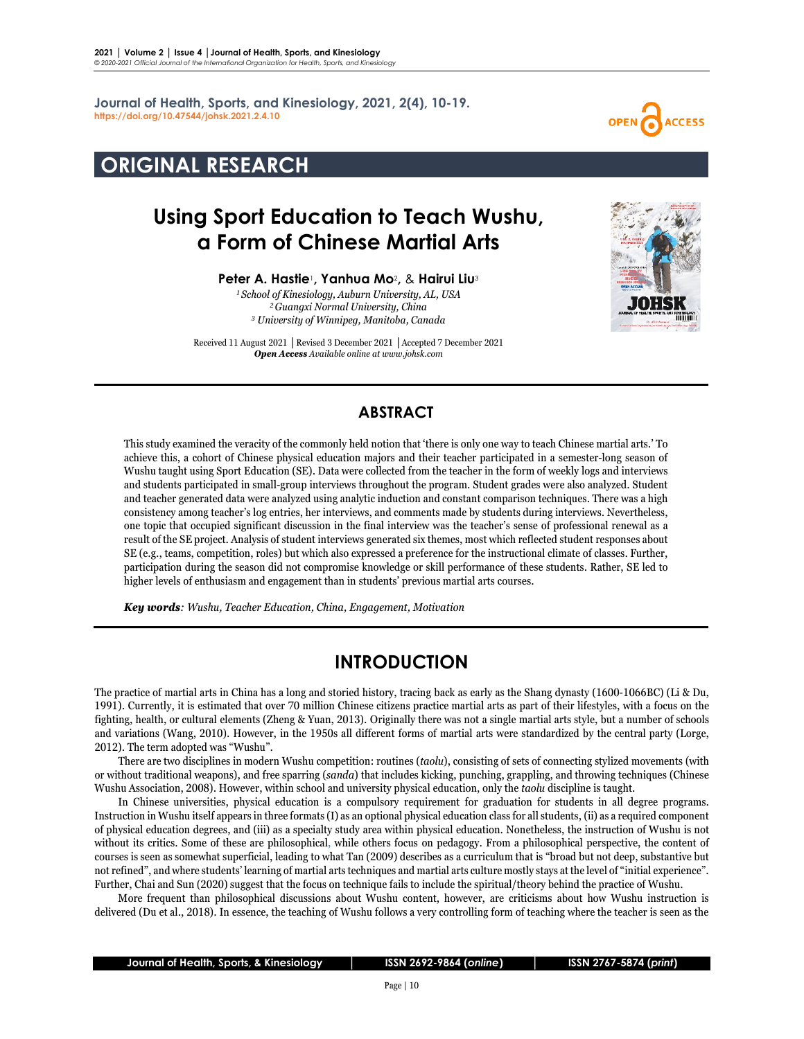**Journal of Health, Sports, and Kinesiology, 2021, 2(4), 10-19. <https://doi.org/10.47544/johsk.2021.2.4.10>**

## **ORIGINAL RESEARCH**

# **Using Sport Education to Teach Wushu, a Form of Chinese Martial Arts**

**Peter A. Hastie**1**, Yanhua Mo**2**,** & **Hairui Liu**<sup>3</sup>

*<sup>1</sup> School of Kinesiology, Auburn University, AL, USA 2Guangxi Normal University, China <sup>3</sup> University of Winnipeg, Manitoba, Canada*

Received 11 August 2021 **│**Revised 3 December 2021 **│**Accepted 7 December 2021 *Open Access Available online at www.johsk.com*

### **ABSTRACT**

This study examined the veracity of the commonly held notion that 'there is only one way to teach Chinese martial arts.' To achieve this, a cohort of Chinese physical education majors and their teacher participated in a semester-long season of Wushu taught using Sport Education (SE). Data were collected from the teacher in the form of weekly logs and interviews and students participated in small-group interviews throughout the program. Student grades were also analyzed. Student and teacher generated data were analyzed using analytic induction and constant comparison techniques. There was a high consistency among teacher's log entries, her interviews, and comments made by students during interviews. Nevertheless, one topic that occupied significant discussion in the final interview was the teacher's sense of professional renewal as a result of the SE project. Analysis of student interviews generated six themes, most which reflected student responses about SE (e.g., teams, competition, roles) but which also expressed a preference for the instructional climate of classes. Further, participation during the season did not compromise knowledge or skill performance of these students. Rather, SE led to higher levels of enthusiasm and engagement than in students' previous martial arts courses.

*Key words: Wushu, Teacher Education, China, Engagement, Motivation*

### **INTRODUCTION**

The practice of martial arts in China has a long and storied history, tracing back as early as the Shang dynasty (1600-1066BC) (Li & Du, 1991). Currently, it is estimated that over 70 million Chinese citizens practice martial arts as part of their lifestyles, with a focus on the fighting, health, or cultural elements (Zheng & Yuan, 2013). Originally there was not a single martial arts style, but a number of schools and variations (Wang, 2010). However, in the 1950s all different forms of martial arts were standardized by the central party (Lorge, 2012). The term adopted was "Wushu".

There are two disciplines in modern Wushu competition: routines (*taolu*), consisting of sets of connecting stylized movements (with or without traditional weapons), and free sparring (*sanda*) that includes kicking, punching, grappling, and throwing techniques (Chinese Wushu Association, 2008). However, within school and university physical education, only the *taolu* discipline is taught.

In Chinese universities, physical education is a compulsory requirement for graduation for students in all degree programs. Instruction in Wushu itself appears in three formats(I) as an optional physical education classfor all students, (ii) as a required component of physical education degrees, and (iii) as a specialty study area within physical education. Nonetheless, the instruction of Wushu is not without its critics. Some of these are philosophical, while others focus on pedagogy. From a philosophical perspective, the content of courses is seen as somewhat superficial, leading to what Tan (2009) describes as a curriculum that is "broad but not deep, substantive but not refined", and where students' learning of martial arts techniques and martial arts culture mostly stays at the level of "initial experience". Further, Chai and Sun (2020) suggest that the focus on technique fails to include the spiritual/theory behind the practice of Wushu.

More frequent than philosophical discussions about Wushu content, however, are criticisms about how Wushu instruction is delivered (Du et al., 2018). In essence, the teaching of Wushu follows a very controlling form of teaching where the teacher is seen as the



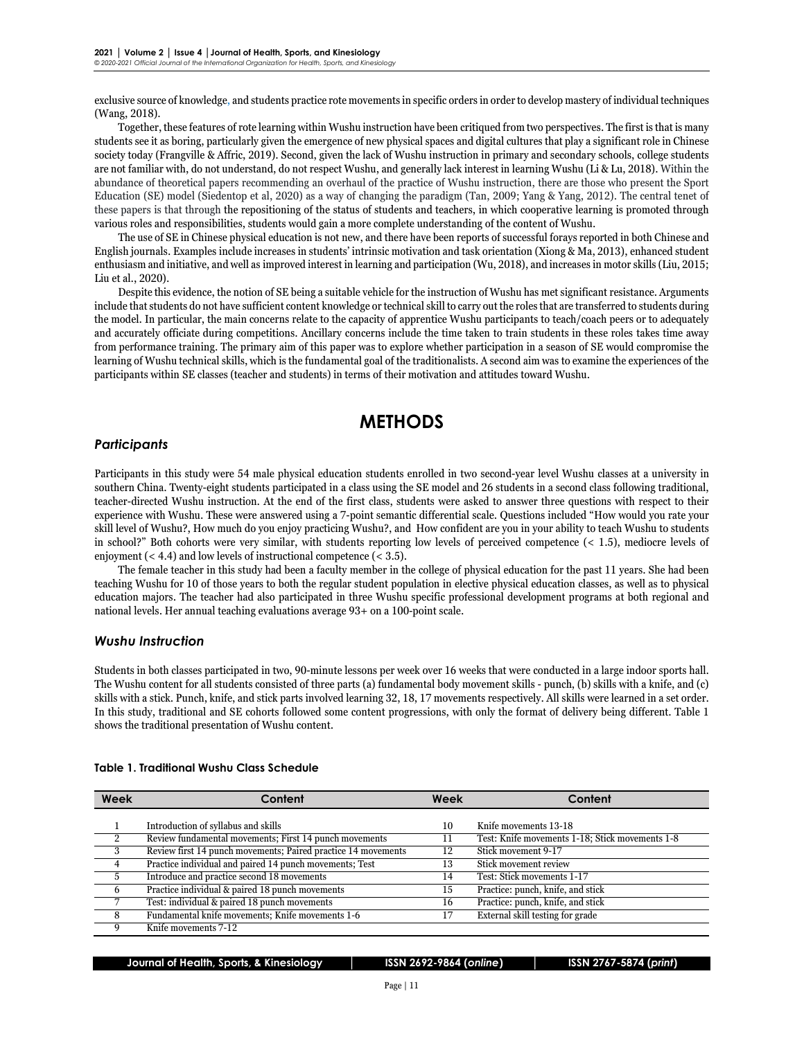exclusive source of knowledge, and students practice rote movementsin specific orders in orderto develop mastery of individual techniques (Wang, 2018).

Together, these features ofrote learning within Wushu instruction have been critiqued from two perspectives. The first isthat is many studentssee it as boring, particularly given the emergence of new physical spaces and digital cultures that play a significant role in Chinese society today (Frangville & Affric, 2019). Second, given the lack of Wushu instruction in primary and secondary schools, college students are not familiar with, do not understand, do not respect Wushu, and generally lack interest in learning Wushu (Li & Lu, 2018). Within the abundance of theoretical papers recommending an overhaul of the practice of Wushu instruction, there are those who present the Sport Education (SE) model (Siedentop et al, 2020) as a way of changing the paradigm (Tan, 2009; Yang & Yang, 2012). The central tenet of these papers is that through the repositioning of the status of students and teachers, in which cooperative learning is promoted through various roles and responsibilities, students would gain a more complete understanding of the content of Wushu.

The use of SE in Chinese physical education is not new, and there have been reports of successful forays reported in both Chinese and English journals. Examples include increases in students' intrinsic motivation and task orientation (Xiong & Ma, 2013), enhanced student enthusiasm and initiative, and well as improved interest in learning and participation (Wu, 2018), and increases in motorskills(Liu, 2015; Liu et al., 2020).

Despite this evidence, the notion of SE being a suitable vehicle forthe instruction of Wushu has metsignificant resistance. Arguments include that students do not have sufficient content knowledge or technical skill to carry out the roles that are transferred to students during the model. In particular, the main concerns relate to the capacity of apprentice Wushu participants to teach/coach peers or to adequately and accurately officiate during competitions. Ancillary concerns include the time taken to train students in these roles takes time away from performance training. The primary aim of this paper was to explore whether participation in a season of SE would compromise the learning of Wushu technical skills, which is the fundamental goal of the traditionalists. A second aim was to examine the experiences of the participants within SE classes (teacher and students) in terms of their motivation and attitudes toward Wushu.

### **METHODS**

### *Participants*

Participants in this study were 54 male physical education students enrolled in two second-year level Wushu classes at a university in southern China. Twenty-eight students participated in a class using the SE model and 26 students in a second class following traditional, teacher-directed Wushu instruction. At the end of the first class, students were asked to answer three questions with respect to their experience with Wushu. These were answered using a 7-point semantic differential scale. Questions included "How would you rate your skill level of Wushu?, How much do you enjoy practicing Wushu?, and How confident are you in your ability to teach Wushu to students in school?" Both cohorts were very similar, with students reporting low levels of perceived competence (< 1.5), mediocre levels of enjoyment (< 4.4) and low levels of instructional competence (< 3.5).

The female teacher in this study had been a faculty member in the college of physical education for the past 11 years. She had been teaching Wushu for 10 of those years to both the regular student population in elective physical education classes, as well as to physical education majors. The teacher had also participated in three Wushu specific professional development programs at both regional and national levels. Her annual teaching evaluations average 93+ on a 100-point scale.

### *Wushu Instruction*

Students in both classes participated in two, 90-minute lessons per week over 16 weeks that were conducted in a large indoor sports hall. The Wushu content for all students consisted of three parts (a) fundamental body movement skills - punch, (b) skills with a knife, and (c) skills with a stick. Punch, knife, and stick parts involved learning 32, 18, 17 movements respectively. All skills were learned in a set order. In this study, traditional and SE cohorts followed some content progressions, with only the format of delivery being different. Table 1 shows the traditional presentation of Wushu content.

| Week                      | Content                                                       |    | Content                                         |
|---------------------------|---------------------------------------------------------------|----|-------------------------------------------------|
|                           |                                                               |    |                                                 |
|                           | Introduction of syllabus and skills                           | 10 | Knife movements 13-18                           |
| $\mathcal{P}$             | Review fundamental movements; First 14 punch movements        | 11 | Test: Knife movements 1-18; Stick movements 1-8 |
| $\overline{\phantom{a}3}$ | Review first 14 punch movements; Paired practice 14 movements |    | Stick movement 9-17                             |
| $\overline{4}$            | Practice individual and paired 14 punch movements; Test       | 13 | Stick movement review                           |
| -5                        | Introduce and practice second 18 movements                    | 14 | Test: Stick movements 1-17                      |
| 6                         | Practice individual & paired 18 punch movements               | 15 | Practice: punch, knife, and stick               |
|                           | Test: individual & paired 18 punch movements                  | 16 | Practice: punch, knife, and stick               |
| $\overline{8}$            | Fundamental knife movements; Knife movements 1-6              |    | External skill testing for grade                |
| - 9                       | Knife movements 7-12                                          |    |                                                 |

#### **Table 1. Traditional Wushu Class Schedule**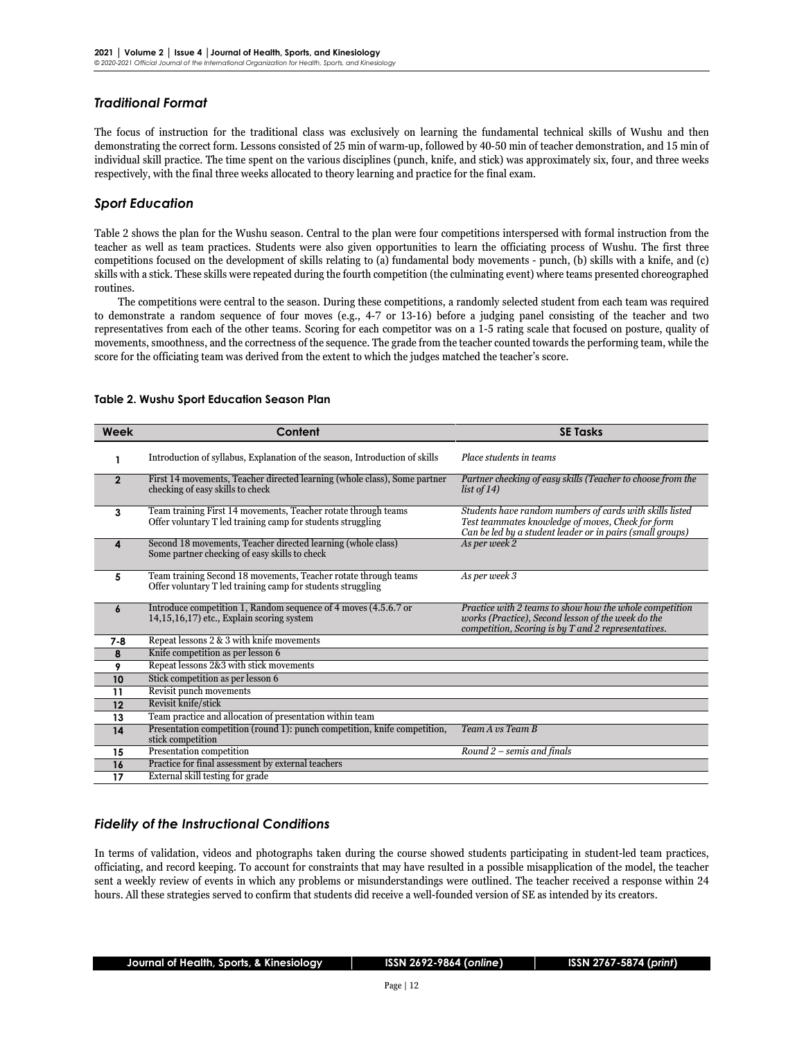### *Traditional Format*

The focus of instruction for the traditional class was exclusively on learning the fundamental technical skills of Wushu and then demonstrating the correct form. Lessons consisted of 25 min of warm-up, followed by 40-50 min of teacher demonstration, and 15 min of individual skill practice. The time spent on the various disciplines (punch, knife, and stick) was approximately six, four, and three weeks respectively, with the final three weeks allocated to theory learning and practice for the final exam.

### *Sport Education*

Table 2 shows the plan for the Wushu season. Central to the plan were four competitions interspersed with formal instruction from the teacher as well as team practices. Students were also given opportunities to learn the officiating process of Wushu. The first three competitions focused on the development of skills relating to (a) fundamental body movements - punch, (b) skills with a knife, and (c) skills with a stick. These skills were repeated during the fourth competition (the culminating event) where teams presented choreographed routines.

The competitions were central to the season. During these competitions, a randomly selected student from each team was required to demonstrate a random sequence of four moves (e.g., 4-7 or 13-16) before a judging panel consisting of the teacher and two representatives from each of the other teams. Scoring for each competitor was on a 1-5 rating scale that focused on posture, quality of movements, smoothness, and the correctness of the sequence. The grade from the teacher counted towards the performing team, while the score for the officiating team was derived from the extent to which the judges matched the teacher's score.

| Week           | Content                                                                                                                        | <b>SE Tasks</b>                                                                                                                                                            |
|----------------|--------------------------------------------------------------------------------------------------------------------------------|----------------------------------------------------------------------------------------------------------------------------------------------------------------------------|
|                | Introduction of syllabus, Explanation of the season, Introduction of skills                                                    | Place students in teams                                                                                                                                                    |
| $\overline{2}$ | First 14 movements, Teacher directed learning (whole class), Some partner<br>checking of easy skills to check                  | Partner checking of easy skills (Teacher to choose from the<br>list of $14$ )                                                                                              |
| 3              | Team training First 14 movements, Teacher rotate through teams<br>Offer voluntary T led training camp for students struggling  | Students have random numbers of cards with skills listed<br>Test teammates knowledge of moves, Check for form<br>Can be led by a student leader or in pairs (small groups) |
| 4              | Second 18 movements, Teacher directed learning (whole class)<br>Some partner checking of easy skills to check                  | As per week 2                                                                                                                                                              |
| 5              | Team training Second 18 movements, Teacher rotate through teams<br>Offer voluntary T led training camp for students struggling | As per week 3                                                                                                                                                              |
| 6              | Introduce competition 1, Random sequence of 4 moves (4.5.6.7 or<br>14,15,16,17) etc., Explain scoring system                   | Practice with 2 teams to show how the whole competition<br>works (Practice), Second lesson of the week do the<br>competition, Scoring is by T and 2 representatives.       |
| $7 - 8$        | Repeat lessons 2 & 3 with knife movements                                                                                      |                                                                                                                                                                            |
| 8              | Knife competition as per lesson 6                                                                                              |                                                                                                                                                                            |
| 9              | Repeat lessons 2&3 with stick movements                                                                                        |                                                                                                                                                                            |
| 10             | Stick competition as per lesson 6                                                                                              |                                                                                                                                                                            |
| 11             | Revisit punch movements                                                                                                        |                                                                                                                                                                            |
| 12             | Revisit knife/stick                                                                                                            |                                                                                                                                                                            |
| 13             | Team practice and allocation of presentation within team                                                                       |                                                                                                                                                                            |
| 14             | Presentation competition (round 1): punch competition, knife competition,<br>stick competition                                 | Team A vs Team B                                                                                                                                                           |
| 15             | Presentation competition                                                                                                       | Round $2$ – semis and finals                                                                                                                                               |
| 16             | Practice for final assessment by external teachers                                                                             |                                                                                                                                                                            |
| 17             | External skill testing for grade                                                                                               |                                                                                                                                                                            |

#### **Table 2. Wushu Sport Education Season Plan**

### *Fidelity of the Instructional Conditions*

In terms of validation, videos and photographs taken during the course showed students participating in student-led team practices, officiating, and record keeping. To account for constraints that may have resulted in a possible misapplication of the model, the teacher sent a weekly review of events in which any problems or misunderstandings were outlined. The teacher received a response within 24 hours. All these strategies served to confirm that students did receive a well-founded version of SE as intended by its creators.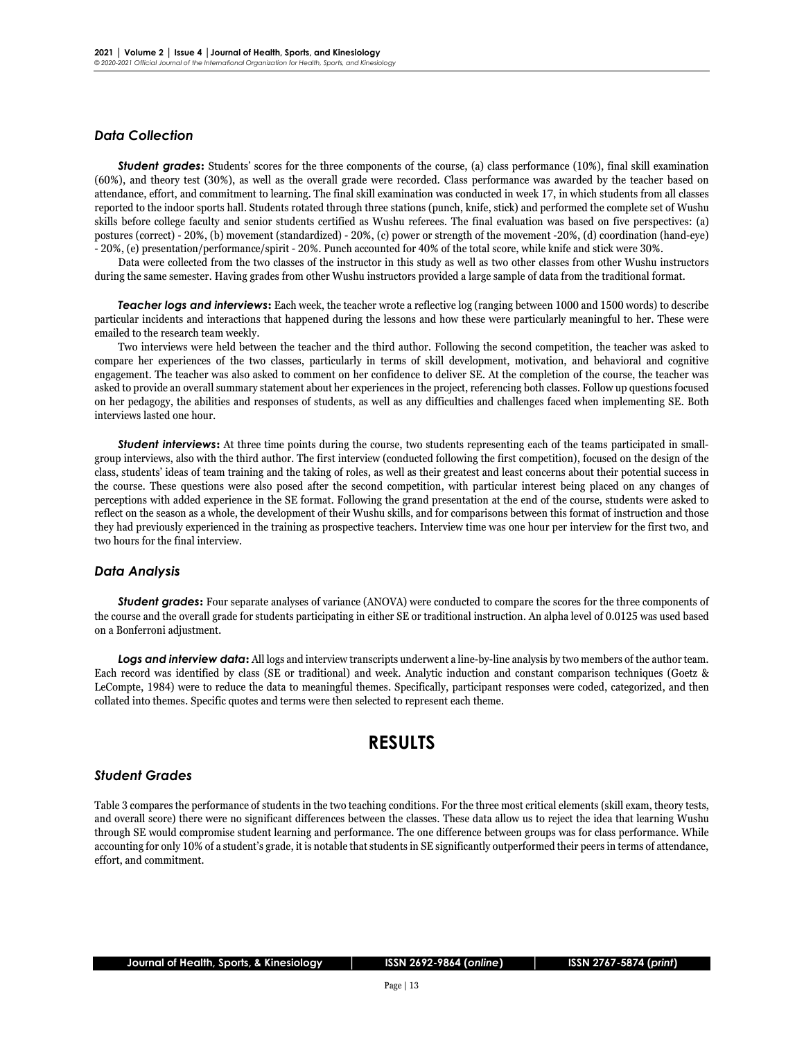### *Data Collection*

**Student grades:** Students' scores for the three components of the course, (a) class performance (10%), final skill examination (60%), and theory test (30%), as well as the overall grade were recorded. Class performance was awarded by the teacher based on attendance, effort, and commitment to learning. The final skill examination was conducted in week 17, in which students from all classes reported to the indoor sports hall. Students rotated through three stations (punch, knife, stick) and performed the complete set of Wushu skills before college faculty and senior students certified as Wushu referees. The final evaluation was based on five perspectives: (a) postures (correct) - 20%, (b) movement (standardized) - 20%, (c) power or strength of the movement -20%, (d) coordination (hand-eye) - 20%, (e) presentation/performance/spirit - 20%. Punch accounted for 40% of the total score, while knife and stick were 30%.

Data were collected from the two classes of the instructor in this study as well as two other classes from other Wushu instructors during the same semester. Having grades from other Wushu instructors provided a large sample of data from the traditional format.

*Teacher logs and interviews***:** Each week, the teacher wrote a reflective log (ranging between 1000 and 1500 words) to describe particular incidents and interactions that happened during the lessons and how these were particularly meaningful to her. These were emailed to the research team weekly.

Two interviews were held between the teacher and the third author. Following the second competition, the teacher was asked to compare her experiences of the two classes, particularly in terms of skill development, motivation, and behavioral and cognitive engagement. The teacher was also asked to comment on her confidence to deliver SE. At the completion of the course, the teacher was asked to provide an overall summary statement about her experiences in the project, referencing both classes. Follow up questions focused on her pedagogy, the abilities and responses of students, as well as any difficulties and challenges faced when implementing SE. Both interviews lasted one hour.

*Student interviews***:** At three time points during the course, two students representing each of the teams participated in smallgroup interviews, also with the third author. The first interview (conducted following the first competition), focused on the design of the class, students' ideas of team training and the taking of roles, as well as their greatest and least concerns about their potential success in the course. These questions were also posed after the second competition, with particular interest being placed on any changes of perceptions with added experience in the SE format. Following the grand presentation at the end of the course, students were asked to reflect on the season as a whole, the development of their Wushu skills, and for comparisons between this format of instruction and those they had previously experienced in the training as prospective teachers. Interview time was one hour per interview for the first two, and two hours for the final interview.

#### *Data Analysis*

**Student grades:** Four separate analyses of variance (ANOVA) were conducted to compare the scores for the three components of the course and the overall grade for students participating in either SE or traditional instruction. An alpha level of 0.0125 was used based on a Bonferroni adjustment.

*Logs and interview data***:** All logs and interview transcripts underwent a line-by-line analysis by two members of the author team. Each record was identified by class (SE or traditional) and week. Analytic induction and constant comparison techniques [\(Goetz &](https://journals.humankinetics.com/view/journals/jtpe/aop/article-10.1123-jtpe.2020-0103/article-10.1123-jtpe.2020-0103.xml?content=fullHtml-6977#r16)  [LeCompte, 1984\)](https://journals.humankinetics.com/view/journals/jtpe/aop/article-10.1123-jtpe.2020-0103/article-10.1123-jtpe.2020-0103.xml?content=fullHtml-6977#r16) were to reduce the data to meaningful themes. Specifically, participant responses were coded, categorized, and then collated into themes. Specific quotes and terms were then selected to represent each theme.

### **RESULTS**

#### *Student Grades*

Table 3 compares the performance of students in the two teaching conditions. For the three most critical elements (skill exam, theory tests, and overall score) there were no significant differences between the classes. These data allow us to reject the idea that learning Wushu through SE would compromise student learning and performance. The one difference between groups was for class performance. While accounting for only 10% of a student's grade, it is notable that students in SE significantly outperformed their peers in terms of attendance, effort, and commitment.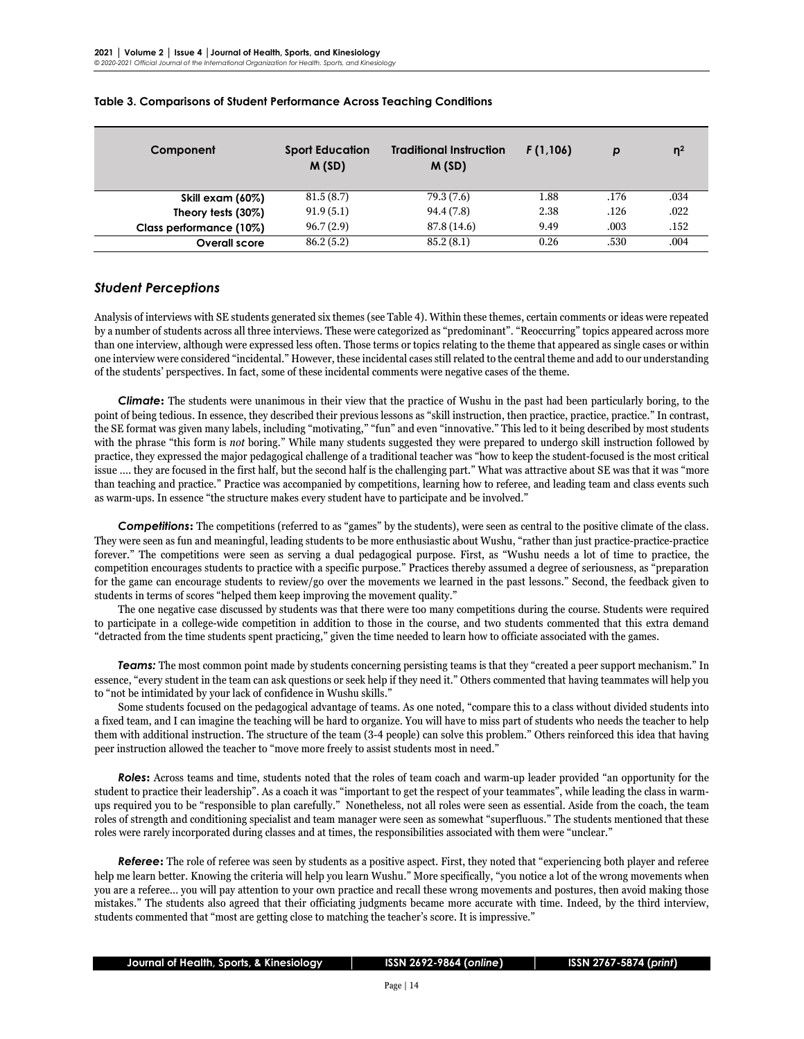| Component               | <b>Sport Education</b><br>M(SD) | <b>Traditional Instruction</b><br>M(SD) | F(1,106) | р    | n <sup>2</sup> |
|-------------------------|---------------------------------|-----------------------------------------|----------|------|----------------|
| Skill exam (60%)        | 81.5(8.7)                       | 79.3 (7.6)                              | 1.88     | .176 | .034           |
| Theory tests (30%)      | 91.9(5.1)                       | 94.4 (7.8)                              | 2.38     | .126 | .022           |
| Class performance (10%) | 96.7(2.9)                       | 87.8 (14.6)                             | 9.49     | .003 | .152           |
| Overall score           | 86.2(5.2)                       | 85.2(8.1)                               | 0.26     | .530 | .004           |

#### **Table 3. Comparisons of Student Performance Across Teaching Conditions**

### *Student Perceptions*

Analysis of interviews with SE students generated six themes (see Table 4). Within these themes, certain comments or ideas were repeated by a number of students across all three interviews. These were categorized as "predominant". "Reoccurring" topics appeared across more than one interview, although were expressed less often. Those terms or topics relating to the theme that appeared as single cases or within one interview were considered "incidental." However, these incidental cases still related to the central theme and add to our understanding of the students' perspectives. In fact, some of these incidental comments were negative cases of the theme.

*Climate***:** The students were unanimous in their view that the practice of Wushu in the past had been particularly boring, to the point of being tedious. In essence, they described their previous lessons as "skill instruction, then practice, practice, practice." In contrast, the SE format was given many labels, including "motivating," "fun" and even "innovative." This led to it being described by most students with the phrase "this form is *not* boring." While many students suggested they were prepared to undergo skill instruction followed by practice, they expressed the major pedagogical challenge of a traditional teacher was "how to keep the student-focused is the most critical issue …. they are focused in the first half, but the second half is the challenging part." What was attractive about SE was that it was "more than teaching and practice." Practice was accompanied by competitions, learning how to referee, and leading team and class events such as warm-ups. In essence "the structure makes every student have to participate and be involved."

**Competitions:** The competitions (referred to as "games" by the students), were seen as central to the positive climate of the class. They were seen as fun and meaningful, leading students to be more enthusiastic about Wushu, "rather than just practice-practice-practice forever." The competitions were seen as serving a dual pedagogical purpose. First, as "Wushu needs a lot of time to practice, the competition encourages students to practice with a specific purpose." Practices thereby assumed a degree of seriousness, as "preparation for the game can encourage students to review/go over the movements we learned in the past lessons." Second, the feedback given to students in terms of scores "helped them keep improving the movement quality."

The one negative case discussed by students was that there were too many competitions during the course. Students were required to participate in a college-wide competition in addition to those in the course, and two students commented that this extra demand "detracted from the time students spent practicing," given the time needed to learn how to officiate associated with the games.

*Teams:* The most common point made by students concerning persisting teams is that they "created a peer support mechanism." In essence, "every student in the team can ask questions or seek help if they need it." Others commented that having teammates will help you to "not be intimidated by your lack of confidence in Wushu skills."

Some students focused on the pedagogical advantage of teams. As one noted, "compare this to a class without divided students into a fixed team, and I can imagine the teaching will be hard to organize. You will have to miss part of students who needs the teacher to help them with additional instruction. The structure of the team (3-4 people) can solve this problem." Others reinforced this idea that having peer instruction allowed the teacher to "move more freely to assist students most in need."

*Roles***:** Across teams and time, students noted that the roles of team coach and warm-up leader provided "an opportunity for the student to practice their leadership". As a coach it was "important to get the respect of your teammates", while leading the class in warmups required you to be "responsible to plan carefully." Nonetheless, not all roles were seen as essential. Aside from the coach, the team roles of strength and conditioning specialist and team manager were seen as somewhat "superfluous." The students mentioned that these roles were rarely incorporated during classes and at times, the responsibilities associated with them were "unclear."

*Referee***:** The role of referee was seen by students as a positive aspect. First, they noted that "experiencing both player and referee help me learn better. Knowing the criteria will help you learn Wushu." More specifically, "you notice a lot of the wrong movements when you are a referee… you will pay attention to your own practice and recall these wrong movements and postures, then avoid making those mistakes." The students also agreed that their officiating judgments became more accurate with time. Indeed, by the third interview, students commented that "most are getting close to matching the teacher's score. It is impressive."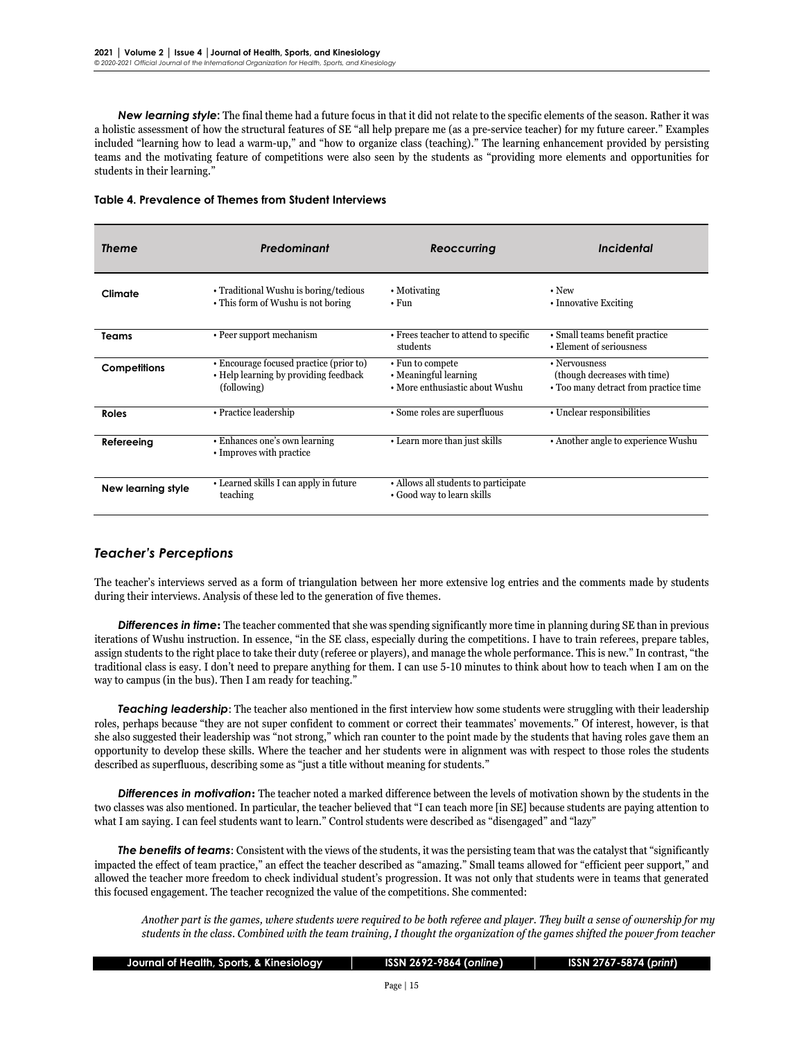*New learning style***:** The final theme had a future focus in that it did not relate to the specific elements of the season. Rather it was a holistic assessment of how the structural features of SE "all help prepare me (as a pre-service teacher) for my future career." Examples included "learning how to lead a warm-up," and "how to organize class (teaching)." The learning enhancement provided by persisting teams and the motivating feature of competitions were also seen by the students as "providing more elements and opportunities for students in their learning."

| Table 4. Prevalence of Themes from Student Interviews |  |
|-------------------------------------------------------|--|
|-------------------------------------------------------|--|

| <b>Theme</b>              | Predominant                                                                                     | <b>Reoccurring</b>                                                           | Incidental                                                                             |  |  |
|---------------------------|-------------------------------------------------------------------------------------------------|------------------------------------------------------------------------------|----------------------------------------------------------------------------------------|--|--|
| Climate                   | • Traditional Wushu is boring/tedious<br>• This form of Wushu is not boring                     | • Motivating<br>$\cdot$ Fun                                                  | $\cdot$ New<br>• Innovative Exciting                                                   |  |  |
| Teams                     | • Peer support mechanism                                                                        | • Frees teacher to attend to specific<br>students                            | • Small teams benefit practice<br>• Element of seriousness                             |  |  |
| <b>Competitions</b>       | • Encourage focused practice (prior to)<br>• Help learning by providing feedback<br>(following) | • Fun to compete<br>• Meaningful learning<br>• More enthusiastic about Wushu | • Nervousness<br>(though decreases with time)<br>• Too many detract from practice time |  |  |
| Roles                     | • Practice leadership                                                                           | • Some roles are superfluous                                                 | • Unclear responsibilities                                                             |  |  |
| Refereeing                | • Enhances one's own learning<br>• Improves with practice                                       | • Learn more than just skills                                                | • Another angle to experience Wushu                                                    |  |  |
| <b>New learning style</b> | • Learned skills I can apply in future<br>teaching                                              | • Allows all students to participate<br>• Good way to learn skills           |                                                                                        |  |  |

### *Teacher's Perceptions*

The teacher's interviews served as a form of triangulation between her more extensive log entries and the comments made by students during their interviews. Analysis of these led to the generation of five themes.

*Differences in time***:** The teacher commented that she was spending significantly more time in planning during SE than in previous iterations of Wushu instruction. In essence, "in the SE class, especially during the competitions. I have to train referees, prepare tables, assign students to the right place to take their duty (referee or players), and manage the whole performance. This is new." In contrast, "the traditional class is easy. I don't need to prepare anything for them. I can use 5-10 minutes to think about how to teach when I am on the way to campus (in the bus). Then I am ready for teaching."

*Teaching leadership*: The teacher also mentioned in the first interview how some students were struggling with their leadership roles, perhaps because "they are not super confident to comment or correct their teammates' movements." Of interest, however, is that she also suggested their leadership was "not strong," which ran counter to the point made by the students that having roles gave them an opportunity to develop these skills. Where the teacher and her students were in alignment was with respect to those roles the students described as superfluous, describing some as "just a title without meaning for students."

*Differences in motivation***:** The teacher noted a marked difference between the levels of motivation shown by the students in the two classes was also mentioned. In particular, the teacher believed that "I can teach more [in SE] because students are paying attention to what I am saying. I can feel students want to learn." Control students were described as "disengaged" and "lazy"

*The benefits of teams*: Consistent with the views of the students, it was the persisting team that was the catalyst that "significantly impacted the effect of team practice," an effect the teacher described as "amazing." Small teams allowed for "efficient peer support," and allowed the teacher more freedom to check individual student's progression. It was not only that students were in teams that generated this focused engagement. The teacher recognized the value of the competitions. She commented:

*Another part is the games, where students were required to be both referee and player. They built a sense of ownership for my students in the class. Combined with the team training, I thought the organization of the games shifted the power from teacher* 

| Journal of Health, Sports, & Kinesiology |  |  |  |  |  |  |  |  |
|------------------------------------------|--|--|--|--|--|--|--|--|
|------------------------------------------|--|--|--|--|--|--|--|--|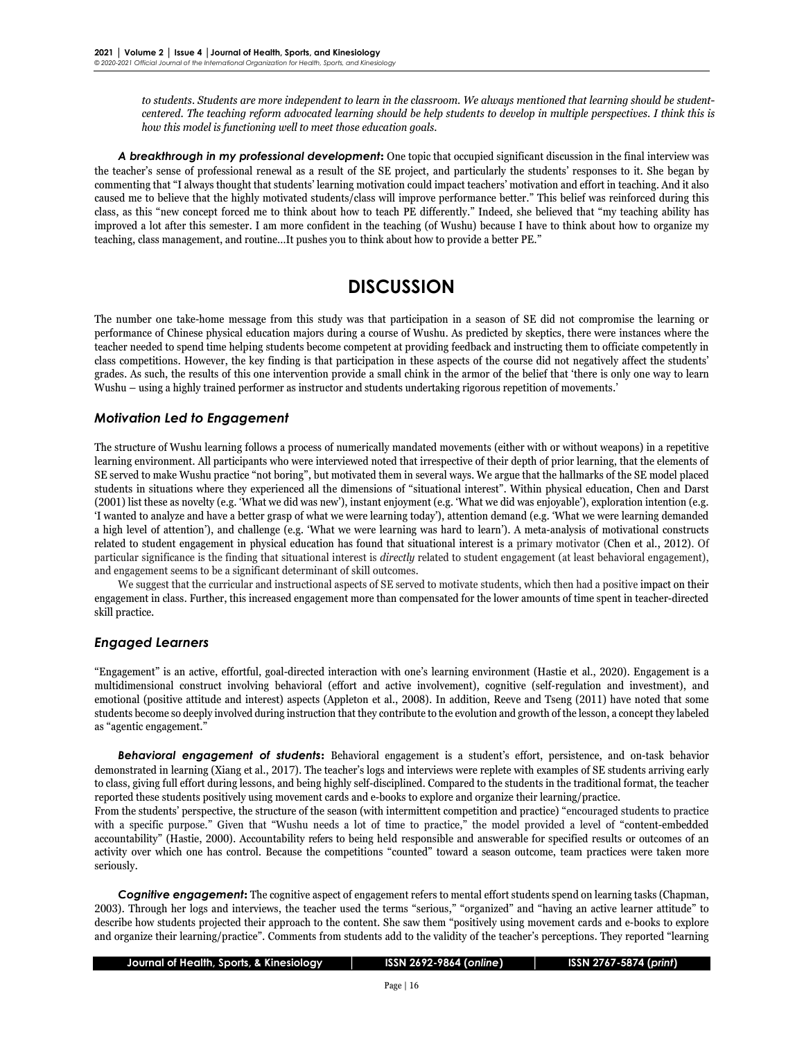*to students. Students are more independent to learn in the classroom. We always mentioned that learning should be studentcentered. The teaching reform advocated learning should be help students to develop in multiple perspectives. I think this is how this model is functioning well to meet those education goals.*

*A breakthrough in my professional development***:** One topic that occupied significant discussion in the final interview was the teacher's sense of professional renewal as a result of the SE project, and particularly the students' responses to it. She began by commenting that "I always thought that students' learning motivation could impact teachers' motivation and effort in teaching. And it also caused me to believe that the highly motivated students/class will improve performance better." This belief was reinforced during this class, as this "new concept forced me to think about how to teach PE differently." Indeed, she believed that "my teaching ability has improved a lot after this semester. I am more confident in the teaching (of Wushu) because I have to think about how to organize my teaching, class management, and routine…It pushes you to think about how to provide a better PE."

## **DISCUSSION**

The number one take-home message from this study was that participation in a season of SE did not compromise the learning or performance of Chinese physical education majors during a course of Wushu. As predicted by skeptics, there were instances where the teacher needed to spend time helping students become competent at providing feedback and instructing them to officiate competently in class competitions. However, the key finding is that participation in these aspects of the course did not negatively affect the students' grades. As such, the results of this one intervention provide a small chink in the armor of the belief that 'there is only one way to learn Wushu – using a highly trained performer as instructor and students undertaking rigorous repetition of movements.'

### *Motivation Led to Engagement*

The structure of Wushu learning follows a process of numerically mandated movements (either with or without weapons) in a repetitive learning environment. All participants who were interviewed noted that irrespective of their depth of prior learning, that the elements of SE served to make Wushu practice "not boring", but motivated them in several ways. We argue that the hallmarks of the SE model placed students in situations where they experienced all the dimensions of "situational interest". Within physical education, Chen and Darst (2001) list these as novelty (e.g. 'What we did was new'), instant enjoyment (e.g. 'What we did was enjoyable'), exploration intention (e.g. 'I wanted to analyze and have a better grasp of what we were learning today'), attention demand (e.g. 'What we were learning demanded a high level of attention'), and challenge (e.g. 'What we were learning was hard to learn'). A meta-analysis of motivational constructs related to student engagement in physical education has found that situational interest is a primary motivator (Chen et al., 2012). Of particular significance is the finding that situational interest is *directly* related to student engagement (at least behavioral engagement), and engagement seems to be a significant determinant of skill outcomes.

We suggest that the curricular and instructional aspects of SE served to motivate students, which then had a positive impact on their engagement in class. Further, this increased engagement more than compensated for the lower amounts of time spent in teacher-directed skill practice.

### *Engaged Learners*

"Engagement" is an active, effortful, goal-directed interaction with one's learning environment (Hastie et al., 2020). Engagement is a multidimensional construct involving behavioral (effort and active involvement), cognitive (self-regulation and investment), and emotional (positive attitude and interest) aspects (Appleton et al., 2008). In addition, Reeve and Tseng (2011) have noted that some students become so deeply involved during instruction that they contribute to the evolution and growth of the lesson, a concept they labeled as "agentic engagement."

*Behavioral engagement of students***:** Behavioral engagement is a student's effort, persistence, and on-task behavior demonstrated in learning (Xiang et al., 2017). The teacher's logs and interviews were replete with examples of SE students arriving early to class, giving full effort during lessons, and being highly self-disciplined. Compared to the students in the traditional format, the teacher reported these students positively using movement cards and e-books to explore and organize their learning/practice.

From the students' perspective, the structure of the season (with intermittent competition and practice) "encouraged students to practice with a specific purpose." Given that "Wushu needs a lot of time to practice," the model provided a level of "content-embedded accountability" (Hastie, 2000). Accountability refers to being held responsible and answerable for specified results or outcomes of an activity over which one has control. Because the competitions "counted" toward a season outcome, team practices were taken more seriously.

*Cognitive engagement***:** The cognitive aspect of engagement refers to mental effort students spend on learning tasks (Chapman, 2003). Through her logs and interviews, the teacher used the terms "serious," "organized" and "having an active learner attitude" to describe how students projected their approach to the content. She saw them "positively using movement cards and e-books to explore and organize their learning/practice". Comments from students add to the validity of the teacher's perceptions. They reported "learning

| Journal of Health, Sports, & Kinesiology, |
|-------------------------------------------|
|-------------------------------------------|

### **Journal of Health, Sports, & Kinesiology │ ISSN 2692-9864 (***online***) │ ISSN 2767-5874 (***print***)**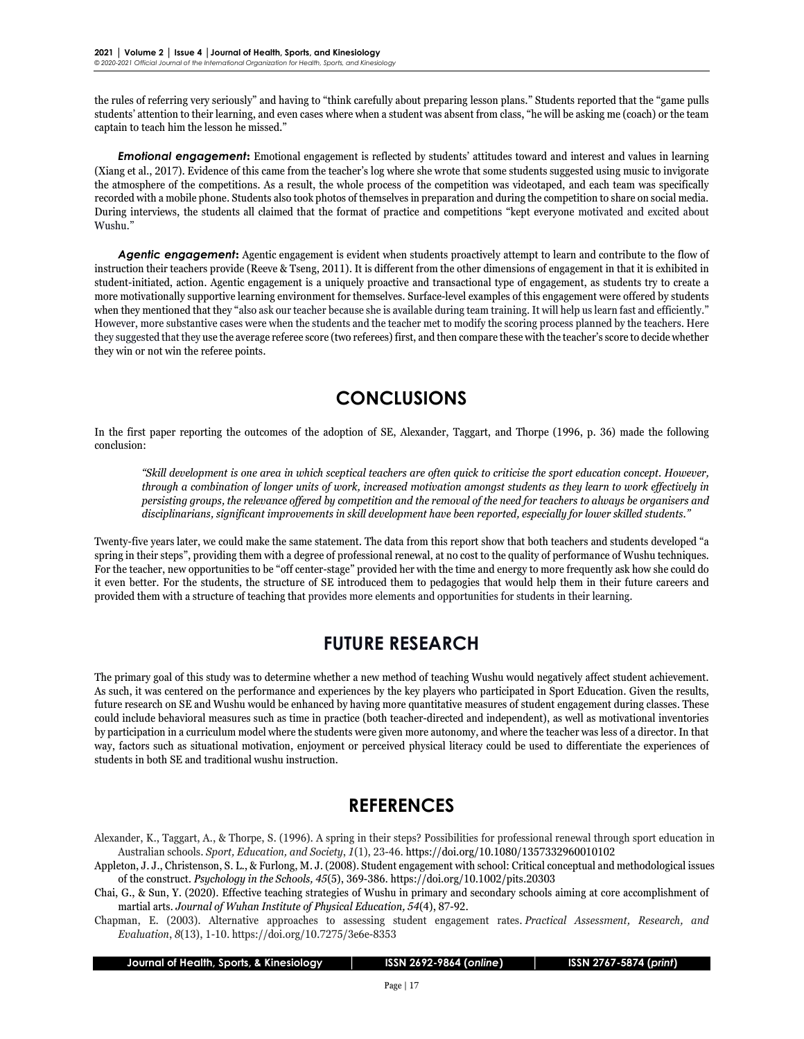the rules of referring very seriously" and having to "think carefully about preparing lesson plans." Students reported that the "game pulls students' attention to their learning, and even cases where when a student was absent from class, "he will be asking me (coach) or the team captain to teach him the lesson he missed."

*Emotional engagement***:** Emotional engagement is reflected by students' attitudes toward and interest and values in learning (Xiang et al., 2017). Evidence of this came from the teacher's log where she wrote that some students suggested using music to invigorate the atmosphere of the competitions. As a result, the whole process of the competition was videotaped, and each team was specifically recorded with a mobile phone. Students also took photos of themselves in preparation and during the competition to share on social media. During interviews, the students all claimed that the format of practice and competitions "kept everyone motivated and excited about Wushu."

*Agentic engagement***:** Agentic engagement is evident when students proactively attempt to learn and contribute to the flow of instruction their teachers provide (Reeve & Tseng, 2011). It is different from the other dimensions of engagement in that it is exhibited in student-initiated, action. Agentic engagement is a uniquely proactive and transactional type of engagement, as students try to create a more motivationally supportive learning environment for themselves. Surface-level examples of this engagement were offered by students when they mentioned that they "also ask our teacher because she is available during team training. It will help us learn fast and efficiently." However, more substantive cases were when the students and the teacher met to modify the scoring process planned by the teachers. Here they suggested that they use the average referee score (two referees) first, and then compare these with the teacher's score to decide whether they win or not win the referee points.

## **CONCLUSIONS**

In the first paper reporting the outcomes of the adoption of SE, Alexander, Taggart, and Thorpe (1996, p. 36) made the following conclusion:

*"Skill development is one area in which sceptical teachers are often quick to criticise the sport education concept. However, through a combination of longer units of work, increased motivation amongst students as they learn to work effectively in persisting groups, the relevance offered by competition and the removal of the need for teachers to always be organisers and disciplinarians, significant improvements in skill development have been reported, especially for lower skilled students."*

Twenty-five years later, we could make the same statement. The data from this report show that both teachers and students developed "a spring in their steps", providing them with a degree of professional renewal, at no cost to the quality of performance of Wushu techniques. For the teacher, new opportunities to be "off center-stage" provided her with the time and energy to more frequently ask how she could do it even better. For the students, the structure of SE introduced them to pedagogies that would help them in their future careers and provided them with a structure of teaching that provides more elements and opportunities for students in their learning.

## **FUTURE RESEARCH**

The primary goal of this study was to determine whether a new method of teaching Wushu would negatively affect student achievement. As such, it was centered on the performance and experiences by the key players who participated in Sport Education. Given the results, future research on SE and Wushu would be enhanced by having more quantitative measures of student engagement during classes. These could include behavioral measures such as time in practice (both teacher-directed and independent), as well as motivational inventories by participation in a curriculum model where the students were given more autonomy, and where the teacher was less of a director. In that way, factors such as situational motivation, enjoyment or perceived physical literacy could be used to differentiate the experiences of students in both SE and traditional wushu instruction.

## **REFERENCES**

Alexander, K., Taggart, A., & Thorpe, S. (1996). A spring in their steps? Possibilities for professional renewal through sport education in Australian schools. *Sport, Education, and Society*, *1*(1), 23-46. https://doi.org/10.1080/1357332960010102

Appleton, J. J., Christenson, S. L., & Furlong, M. J. (2008). Student engagement with school: Critical conceptual and methodological issues of the construct. *Psychology in the Schools, 45*(5), 369-386. https://doi.org/10.1002/pits.20303

Chapman, E. (2003). Alternative approaches to assessing student engagement rates. *Practical Assessment, Research, and Evaluation*, *8*(13), 1-10. https://doi.org/10.7275/3e6e-8353

 **Journal of Health, Sports, & Kinesiology │ ISSN 2692-9864 (***online***) │ ISSN 2767-5874 (***print***)**

Chai, G., & Sun, Y. (2020). Effective teaching strategies of Wushu in primary and secondary schools aiming at core accomplishment of martial arts. *Journal of Wuhan Institute of Physical Education, 54*(4), 87-92.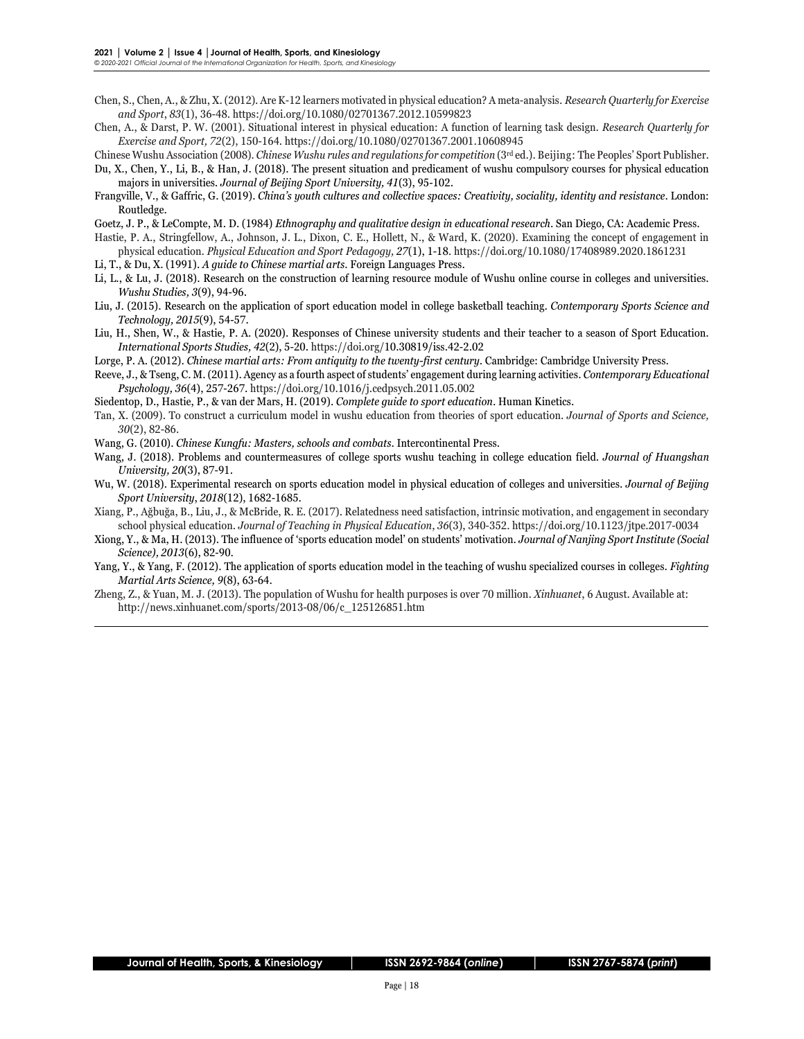- Chen, S., Chen, A., & Zhu, X. (2012). Are K-12 learners motivated in physical education? A meta-analysis. *Research Quarterly for Exercise and Sport*, *83*(1), 36-48. https://doi.org/10.1080/02701367.2012.10599823
- Chen, A., & Darst, P. W. (2001). Situational interest in physical education: A function of learning task design. *Research Quarterly for Exercise and Sport, 72*(2), 150-164. https://doi.org/10.1080/02701367.2001.10608945

Chinese Wushu Association (2008)*. Chinese Wushu rules and regulations for competition* (3rd ed.). Beijing: The Peoples' Sport Publisher. Du, X., Chen, Y., Li, B., & Han, J. (2018). The present situation and predicament of wushu compulsory courses for physical education

majors in universities*. Journal of Beijing Sport University, 41*(3), 95-102.

Frangville, V., & Gaffric, G. (2019). *China's youth cultures and collective spaces: Creativity, sociality, identity and resistance*. London: Routledge.

Goetz, J. P., & LeCompte, M. D. (1984) *Ethnography and qualitative design in educational research*. San Diego, CA: Academic Press.

Hastie, P. A., Stringfellow, A., Johnson, J. L., Dixon, C. E., Hollett, N., & Ward, K. (2020). Examining the concept of engagement in physical education. *Physical Education and Sport Pedagogy, 27*(1), 1-18*.* https://doi.org/10.1080/17408989.2020.1861231

- Li, T., & Du, X. (1991). *A guide to Chinese martial arts*. Foreign Languages Press.
- Li, L., & Lu, J. (2018). Research on the construction of learning resource module of Wushu online course in colleges and universities. *Wushu Studies, 3*(9), 94-96.
- Liu, J. (2015). Research on the application of sport education model in college basketball teaching. *Contemporary Sports Science and Technology, 2015*(9), 54-57.

Liu, H., Shen, W., & Hastie, P. A. (2020). Responses of Chinese university students and their teacher to a season of Sport Education. *International Sports Studies, 42*(2), 5-20. https://doi.org/10.30819/iss.42-2.02

Lorge, P. A. (2012). *Chinese martial arts: From antiquity to the twenty-first century*. Cambridge: Cambridge University Press.

Reeve, J., & Tseng, C. M. (2011). Agency as a fourth aspect of students' engagement during learning activities. *Contemporary Educational Psychology, 36*(4), 257-267. https://doi.org/10.1016/j.cedpsych.2011.05.002

Siedentop, D., Hastie, P., & van der Mars, H. (2019). *Complete guide to sport education*. Human Kinetics.

Tan, X. (2009). To construct a curriculum model in wushu education from theories of sport education. *Journal of Sports and Science, 30*(2), 82-86.

Wang, G. (2010). *Chinese Kungfu: Masters, schools and combats*. Intercontinental Press.

- Wang, J. (2018). Problems and countermeasures of college sports wushu teaching in college education field. *Journal of Huangshan University, 20*(3), 87-91.
- Wu, W. (2018). Experimental research on sports education model in physical education of colleges and universities. *Journal of Beijing Sport University*, *2018*(12), 1682-1685.
- Xiang, P., Ağbuğa, B., Liu, J., & McBride, R. E. (2017). Relatedness need satisfaction, intrinsic motivation, and engagement in secondary school physical education. *Journal of Teaching in Physical Education*, *36*(3), 340-352. https://doi.org/10.1123/jtpe.2017-0034
- Xiong, Y., & Ma, H. (2013). The influence of 'sports education model' on students' motivation. *Journal of Nanjing Sport Institute (Social Science), 2013*(6), 82-90.
- Yang, Y., & Yang, F. (2012). The application of sports education model in the teaching of wushu specialized courses in colleges. *Fighting Martial Arts Science, 9*(8), 63-64.

Zheng, Z., & Yuan, M. J. (2013). The population of Wushu for health purposes is over 70 million. *Xinhuanet*, 6 August. Available at: http://news.xinhuanet.com/sports/2013-08/06/c\_125126851.htm